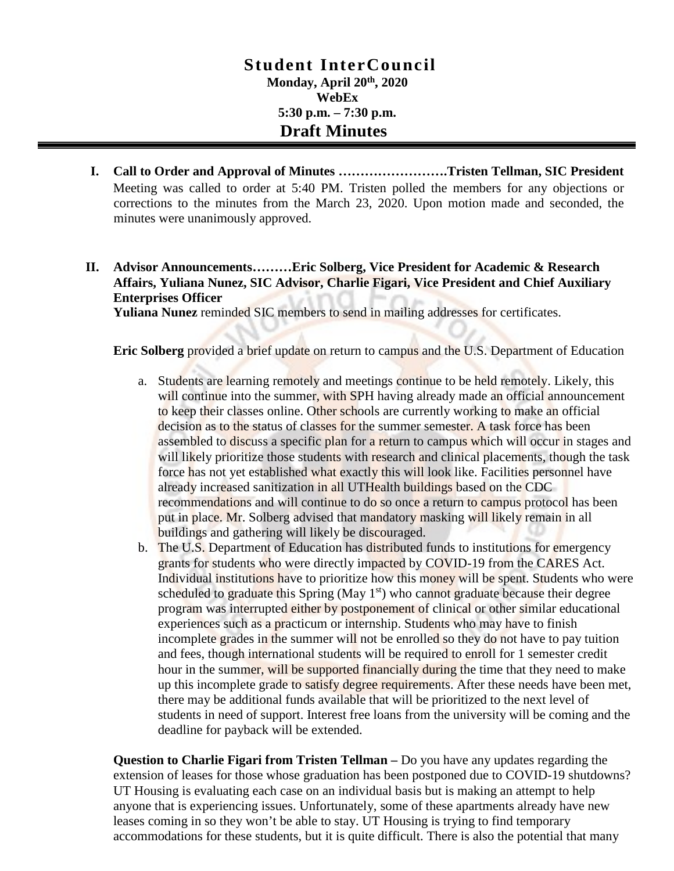## **Stude nt InterCouncil Monday, April 20th, 2020 WebEx 5:30 p.m. – 7:30 p.m. Draft Minutes**

- **I. Call to Order and Approval of Minutes …………………….Tristen Tellman, SIC President** Meeting was called to order at 5:40 PM. Tristen polled the members for any objections or corrections to the minutes from the March 23, 2020. Upon motion made and seconded, the minutes were unanimously approved.
- **II. Advisor Announcements………Eric Solberg, Vice President for Academic & Research Affairs, Yuliana Nunez, SIC Advisor, Charlie Figari, Vice President and Chief Auxiliary Enterprises Officer**

**Yuliana Nunez** reminded SIC members to send in mailing addresses for certificates.

**Eric Solberg** provided a brief update on return to campus and the U.S. Department of Education

- a. Students are learning remotely and meetings continue to be held remotely. Likely, this will continue into the summer, with SPH having already made an official announcement to keep their classes online. Other schools are currently working to make an official decision as to the status of classes for the summer semester. A task force has been assembled to discuss a specific plan for a return to campus which will occur in stages and will likely prioritize those students with research and clinical placements, though the task force has not yet established what exactly this will look like. Facilities personnel have already increased sanitization in all UTHealth buildings based on the CDC recommendations and will continue to do so once a return to campus protocol has been put in place. Mr. Solberg advised that mandatory masking will likely remain in all buildings and gathering will likely be discouraged.
- b. The U.S. Department of Education has distributed funds to institutions for emergency grants for students who were directly impacted by COVID-19 from the CARES Act. Individual institutions have to prioritize how this money will be spent. Students who were scheduled to graduate this Spring (May  $1<sup>st</sup>$ ) who cannot graduate because their degree program was interrupted either by postponement of clinical or other similar educational experiences such as a practicum or internship. Students who may have to finish incomplete grades in the summer will not be enrolled so they do not have to pay tuition and fees, though international students will be required to enroll for 1 semester credit hour in the summer, will be supported financially during the time that they need to make up this incomplete grade to satisfy degree requirements. After these needs have been met, there may be additional funds available that will be prioritized to the next level of students in need of support. Interest free loans from the university will be coming and the deadline for payback will be extended.

**Question to Charlie Figari from Tristen Tellman –** Do you have any updates regarding the extension of leases for those whose graduation has been postponed due to COVID-19 shutdowns? UT Housing is evaluating each case on an individual basis but is making an attempt to help anyone that is experiencing issues. Unfortunately, some of these apartments already have new leases coming in so they won't be able to stay. UT Housing is trying to find temporary accommodations for these students, but it is quite difficult. There is also the potential that many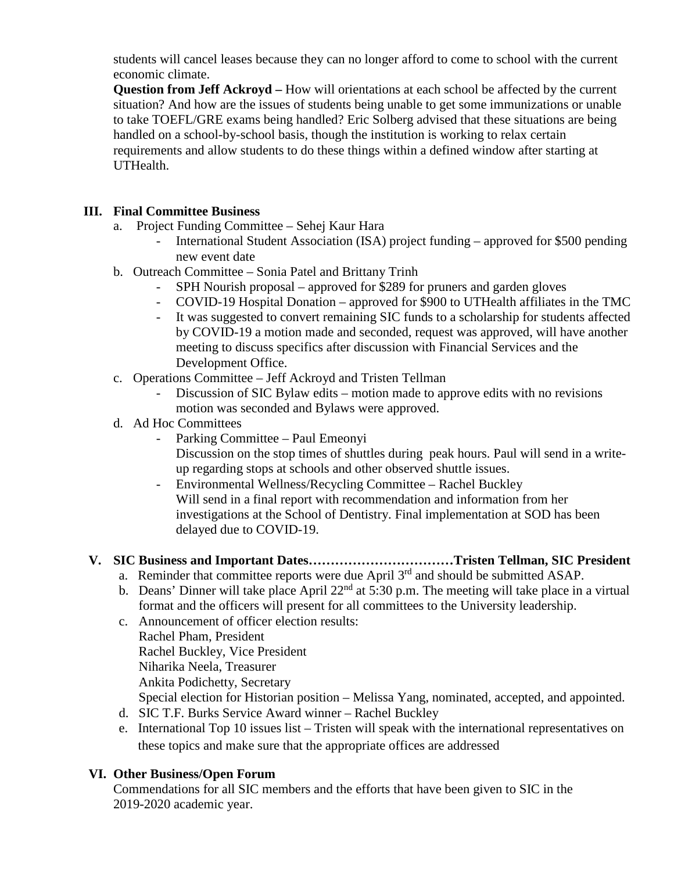students will cancel leases because they can no longer afford to come to school with the current economic climate.

**Question from Jeff Ackroyd** – How will orientations at each school be affected by the current situation? And how are the issues of students being unable to get some immunizations or unable to take TOEFL/GRE exams being handled? Eric Solberg advised that these situations are being handled on a school-by-school basis, though the institution is working to relax certain requirements and allow students to do these things within a defined window after starting at UTHealth.

### **III. Final Committee Business**

- a. Project Funding Committee Sehej Kaur Hara
	- International Student Association (ISA) project funding approved for \$500 pending new event date
- b. Outreach Committee Sonia Patel and Brittany Trinh
	- SPH Nourish proposal approved for \$289 for pruners and garden gloves
	- COVID-19 Hospital Donation approved for \$900 to UTHealth affiliates in the TMC
	- It was suggested to convert remaining SIC funds to a scholarship for students affected by COVID-19 a motion made and seconded, request was approved, will have another meeting to discuss specifics after discussion with Financial Services and the Development Office.
- c. Operations Committee Jeff Ackroyd and Tristen Tellman
	- Discussion of SIC Bylaw edits motion made to approve edits with no revisions motion was seconded and Bylaws were approved.
- d. Ad Hoc Committees
	- Parking Committee Paul Emeonyi Discussion on the stop times of shuttles during peak hours. Paul will send in a writeup regarding stops at schools and other observed shuttle issues.
	- Environmental Wellness/Recycling Committee Rachel Buckley Will send in a final report with recommendation and information from her investigations at the School of Dentistry. Final implementation at SOD has been delayed due to COVID-19.

# **V. SIC Business and Important Dates……………………………Tristen Tellman, SIC President**

- a. Reminder that committee reports were due April 3<sup>rd</sup> and should be submitted ASAP.
- b. Deans' Dinner will take place April  $22<sup>nd</sup>$  at 5:30 p.m. The meeting will take place in a virtual format and the officers will present for all committees to the University leadership.
- c. Announcement of officer election results:
	- Rachel Pham, President
	- Rachel Buckley, Vice President
	- Niharika Neela, Treasurer
	- Ankita Podichetty, Secretary
	- Special election for Historian position Melissa Yang, nominated, accepted, and appointed.
- d. SIC T.F. Burks Service Award winner Rachel Buckley
- e. International Top 10 issues list Tristen will speak with the international representatives on these topics and make sure that the appropriate offices are addressed

## **VI. Other Business/Open Forum**

Commendations for all SIC members and the efforts that have been given to SIC in the 2019-2020 academic year.